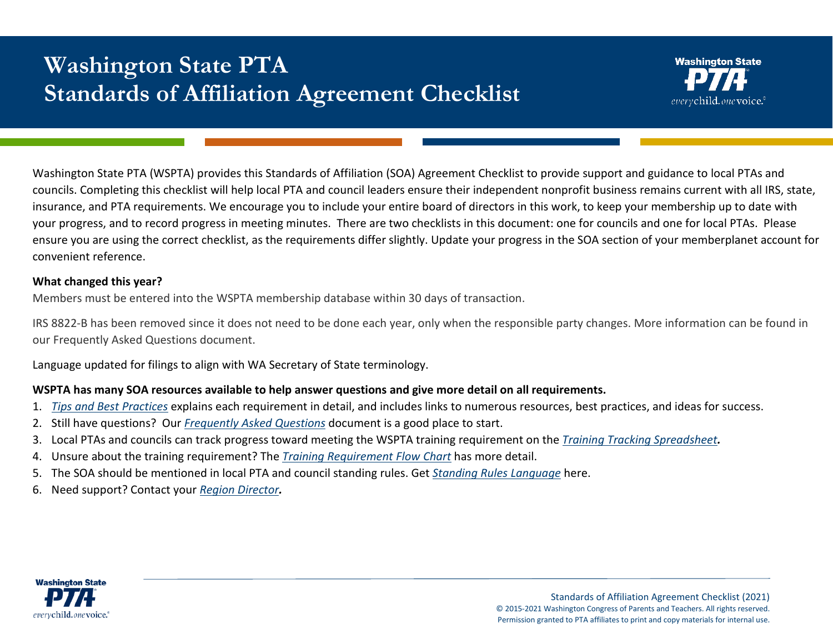# **Washington State PTA Standards of Affiliation Agreement Checklist**

Washington State PTA (WSPTA) provides this Standards of Affiliation (SOA) Agreement Checklist to provide support and guidance to local PTAs and councils. Completing this checklist will help local PTA and council leaders ensure their independent nonprofit business remains current with all IRS, state, insurance, and PTA requirements. We encourage you to include your entire board of directors in this work, to keep your membership up to date with your progress, and to record progress in meeting minutes. There are two checklists in this document: one for councils and one for local PTAs. Please ensure you are using the correct checklist, as the requirements differ slightly. Update your progress in the SOA section of your memberplanet account for convenient reference.

## **What changed this year?**

Members must be entered into the WSPTA membership database within 30 days of transaction.

IRS 8822-B has been removed since it does not need to be done each year, only when the responsible party changes. More information can be found in our Frequently Asked Questions document.

Language updated for filings to align with WA Secretary of State terminology.

## **WSPTA has many SOA resources available to help answer questions and give more detail on all requirements.**

- 1. *[Tips and Best Practices](https://www.wastatepta.org/pta-leaders/governance/)* explains each requirement in detail, and includes links to numerous resources, best practices, and ideas for success.
- 2. Still have questions? Our *[Frequently Asked Questions](https://www.wastatepta.org/pta-leaders/governance/)* document is a good place to start.
- 3. Local PTAs and councils can track progress toward meeting the WSPTA training requirement on the *[Training Tracking Spreadsheet](https://www.wastatepta.org/pta-leaders/governance/).*
- 4. Unsure about the training requirement? The *[Training Requirement Flow Chart](https://www.wastatepta.org/pta-leaders/governance/)* has more detail.
- 5. The SOA should be mentioned in local PTA and council standing rules. Get *[Standing Rules Language](https://www.wastatepta.org/pta-leaders/governance/)* here.
- 6. Need support? Contact your *[Region Director](https://www.wastatepta.org/pta-leaders/pta-regions/).*



Standards of Affiliation Agreement Checklist (2021) © 2015-2021 Washington Congress of Parents and Teachers. All rights reserved. Permission granted to PTA affiliates to print and copy materials for internal use.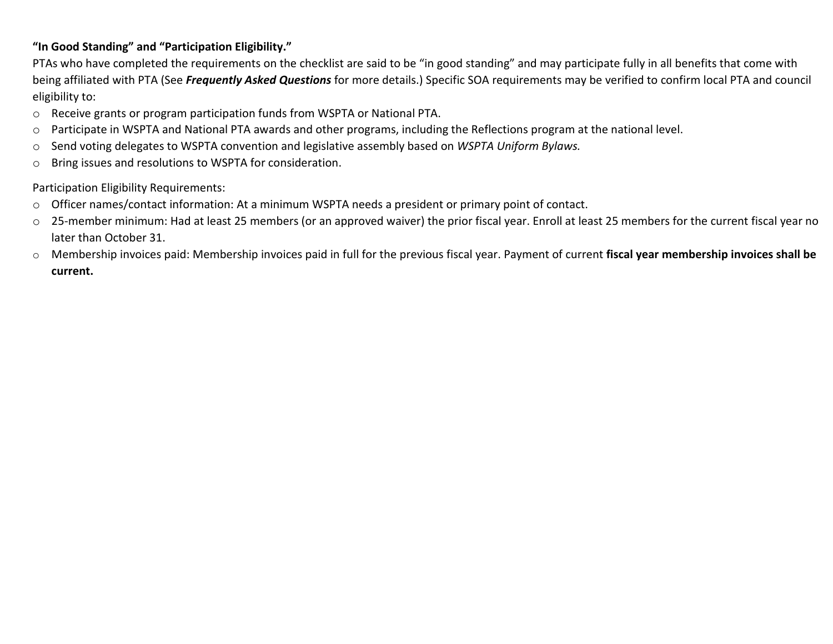## **"In Good Standing" and "Participation Eligibility."**

PTAs who have completed the requirements on the checklist are said to be "in good standing" and may participate fully in all benefits that come with being affiliated with PTA (See *Frequently Asked Questions* for more details.) Specific SOA requirements may be verified to confirm local PTA and council eligibility to:

- o Receive grants or program participation funds from WSPTA or National PTA.
- o Participate in WSPTA and National PTA awards and other programs, including the Reflections program at the national level.
- o Send voting delegates to WSPTA convention and legislative assembly based on *WSPTA Uniform Bylaws.*
- o Bring issues and resolutions to WSPTA for consideration.

#### Participation Eligibility Requirements:

- o Officer names/contact information: At a minimum WSPTA needs a president or primary point of contact.
- o 25-member minimum: Had at least 25 members (or an approved waiver) the prior fiscal year. Enroll at least 25 members for the current fiscal year no later than October 31.
- o Membership invoices paid: Membership invoices paid in full for the previous fiscal year. Payment of current **fiscal year membership invoices shall be current.**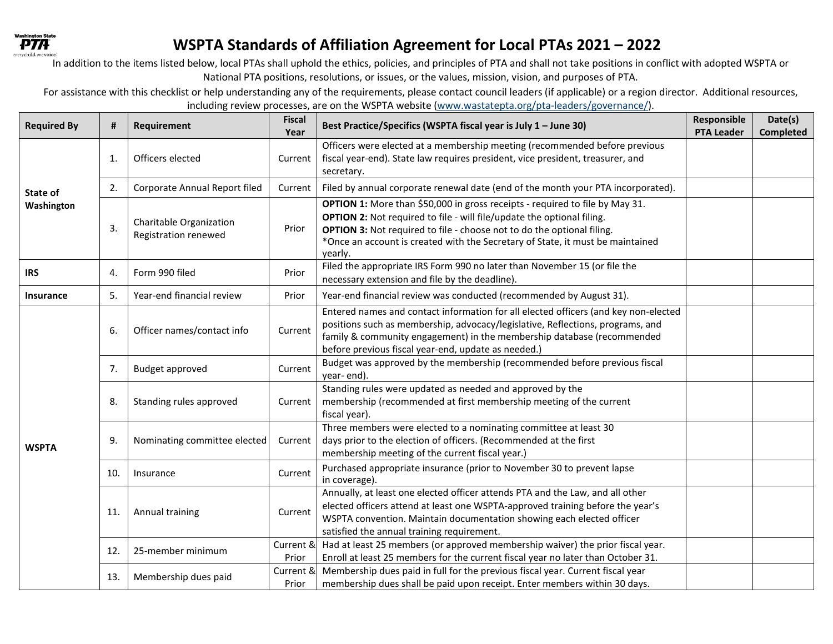

# **WSPTA Standards of Affiliation Agreement for Local PTAs 2021 – 2022**

In addition to the items listed below, local PTAs shall uphold the ethics, policies, and principles of PTA and shall not take positions in conflict with adopted WSPTA or National PTA positions, resolutions, or issues, or the values, mission, vision, and purposes of PTA.

For assistance with this checklist or help understanding any of the requirements, please contact council leaders (if applicable) or a region director. Additional resources,

including review processes, are on the WSPTA websit[e \(www.wastatepta.org/pta-leaders/governance/\).](http://www.wastatepta.org/pta-leaders/governance/)) 

| <b>Required By</b>     | #            | Requirement                                            | <b>Fiscal</b><br>Year | Best Practice/Specifics (WSPTA fiscal year is July 1 - June 30)                                                                                                                                                                                                                                                                      | Responsible<br><b>PTA Leader</b> | Date(s)<br><b>Completed</b> |
|------------------------|--------------|--------------------------------------------------------|-----------------------|--------------------------------------------------------------------------------------------------------------------------------------------------------------------------------------------------------------------------------------------------------------------------------------------------------------------------------------|----------------------------------|-----------------------------|
| State of<br>Washington | $\mathbf{1}$ | Officers elected                                       | Current               | Officers were elected at a membership meeting (recommended before previous<br>fiscal year-end). State law requires president, vice president, treasurer, and<br>secretary.                                                                                                                                                           |                                  |                             |
|                        | 2.           | Corporate Annual Report filed                          | Current               | Filed by annual corporate renewal date (end of the month your PTA incorporated).                                                                                                                                                                                                                                                     |                                  |                             |
|                        | 3.           | Charitable Organization<br><b>Registration renewed</b> | Prior                 | OPTION 1: More than \$50,000 in gross receipts - required to file by May 31.<br>OPTION 2: Not required to file - will file/update the optional filing.<br><b>OPTION 3:</b> Not required to file - choose not to do the optional filing.<br>*Once an account is created with the Secretary of State, it must be maintained<br>yearly. |                                  |                             |
| <b>IRS</b>             | 4.           | Form 990 filed                                         | Prior                 | Filed the appropriate IRS Form 990 no later than November 15 (or file the<br>necessary extension and file by the deadline).                                                                                                                                                                                                          |                                  |                             |
| <b>Insurance</b>       | 5.           | Year-end financial review                              | Prior                 | Year-end financial review was conducted (recommended by August 31).                                                                                                                                                                                                                                                                  |                                  |                             |
| <b>WSPTA</b>           | 6.           | Officer names/contact info                             | Current               | Entered names and contact information for all elected officers (and key non-elected<br>positions such as membership, advocacy/legislative, Reflections, programs, and<br>family & community engagement) in the membership database (recommended<br>before previous fiscal year-end, update as needed.)                               |                                  |                             |
|                        | 7.           | Budget approved                                        | Current               | Budget was approved by the membership (recommended before previous fiscal<br>year-end).                                                                                                                                                                                                                                              |                                  |                             |
|                        | 8.           | Standing rules approved                                | Current               | Standing rules were updated as needed and approved by the<br>membership (recommended at first membership meeting of the current<br>fiscal year).                                                                                                                                                                                     |                                  |                             |
|                        | 9.           | Nominating committee elected                           | Current               | Three members were elected to a nominating committee at least 30<br>days prior to the election of officers. (Recommended at the first<br>membership meeting of the current fiscal year.)                                                                                                                                             |                                  |                             |
|                        | 10.          | Insurance                                              | Current               | Purchased appropriate insurance (prior to November 30 to prevent lapse<br>in coverage).                                                                                                                                                                                                                                              |                                  |                             |
|                        | 11.          | Annual training                                        | Current               | Annually, at least one elected officer attends PTA and the Law, and all other<br>elected officers attend at least one WSPTA-approved training before the year's<br>WSPTA convention. Maintain documentation showing each elected officer<br>satisfied the annual training requirement.                                               |                                  |                             |
|                        | 12.          | 25-member minimum                                      | Current &<br>Prior    | Had at least 25 members (or approved membership waiver) the prior fiscal year.<br>Enroll at least 25 members for the current fiscal year no later than October 31.                                                                                                                                                                   |                                  |                             |
|                        | 13.          | Membership dues paid                                   | Current &<br>Prior    | Membership dues paid in full for the previous fiscal year. Current fiscal year<br>membership dues shall be paid upon receipt. Enter members within 30 days.                                                                                                                                                                          |                                  |                             |